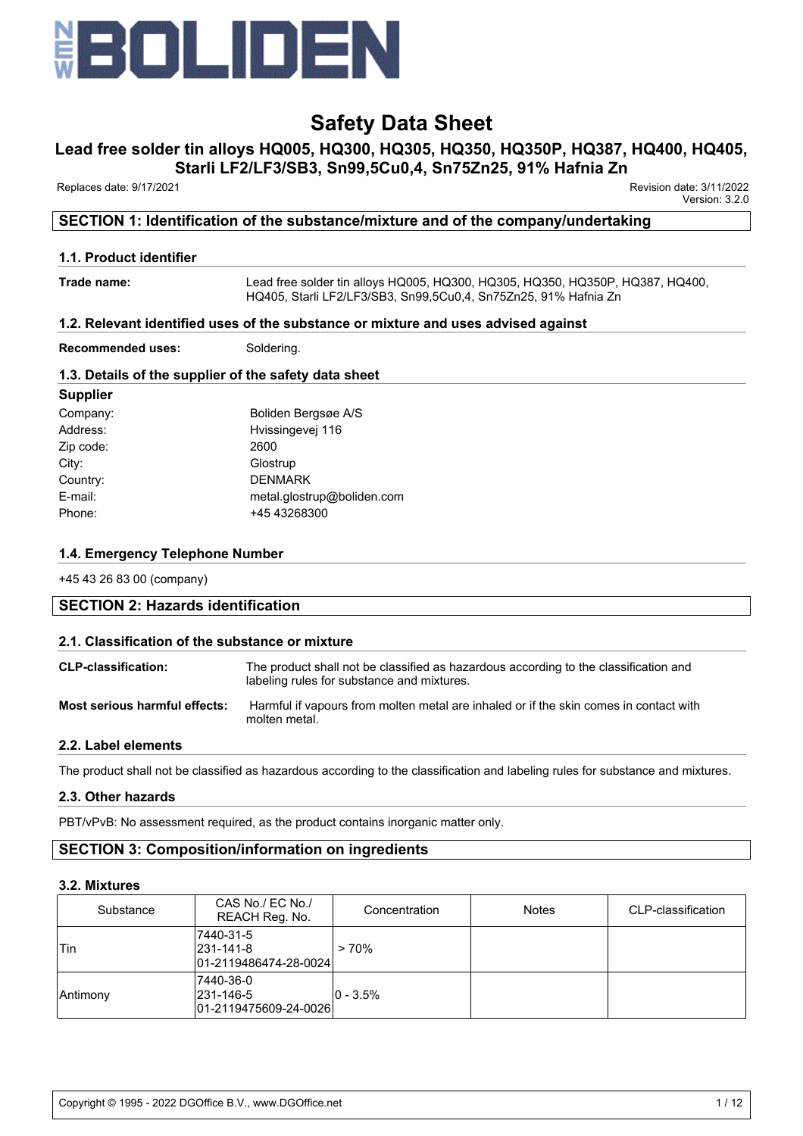

# **Lead free solder tin alloys HQ005, HQ300, HQ305, HQ350, HQ350P, HQ387, HQ400, HQ405,**

**Starli LF2/LF3/SB3, Sn99,5Cu0,4, Sn75Zn25, 91% Hafnia Zn**

Replaces date: 9/17/2021 Revision date: 3/11/2022

Version: 3.2.0

## **SECTION 1: Identification of the substance/mixture and of the company/undertaking**

### **1.1. Product identifier**

**Trade name:** Lead free solder tin alloys HQ005, HQ300, HQ305, HQ350, HQ350P, HQ387, HQ400, HQ405, Starli LF2/LF3/SB3, Sn99,5Cu0,4, Sn75Zn25, 91% Hafnia Zn

### **1.2. Relevant identified uses of the substance or mixture and uses advised against**

**Recommended uses:** Soldering.

### **1.3. Details of the supplier of the safety data sheet**

| <b>Supplier</b> |                            |
|-----------------|----------------------------|
| Company:        | Boliden Bergsøe A/S        |
| Address:        | Hvissingevej 116           |
| Zip code:       | 2600                       |
| City:           | Glostrup                   |
| Country:        | <b>DENMARK</b>             |
| E-mail:         | metal.glostrup@boliden.com |
| Phone:          | +45 43268300               |
|                 |                            |

### **1.4. Emergency Telephone Number**

+45 43 26 83 00 (company)

#### **SECTION 2: Hazards identification**

#### **2.1. Classification of the substance or mixture**

| <b>CLP-classification:</b>    | The product shall not be classified as hazardous according to the classification and<br>labeling rules for substance and mixtures. |
|-------------------------------|------------------------------------------------------------------------------------------------------------------------------------|
| Most serious harmful effects: | Harmful if vapours from molten metal are inhaled or if the skin comes in contact with<br>molten metal.                             |

#### **2.2. Label elements**

The product shall not be classified as hazardous according to the classification and labeling rules for substance and mixtures.

## **2.3. Other hazards**

PBT/vPvB: No assessment required, as the product contains inorganic matter only.

# **SECTION 3: Composition/information on ingredients**

#### **3.2. Mixtures**

| Substance | CAS No./ EC No./<br>REACH Reg. No.                      | Concentration | <b>Notes</b> | CLP-classification |
|-----------|---------------------------------------------------------|---------------|--------------|--------------------|
| 'Tin      | 7440-31-5<br>$ 231 - 141 - 8 $<br>01-2119486474-28-0024 | >70%          |              |                    |
| Antimony  | 7440-36-0<br>231-146-5<br>01-2119475609-24-0026         | $ 0 - 3.5\% $ |              |                    |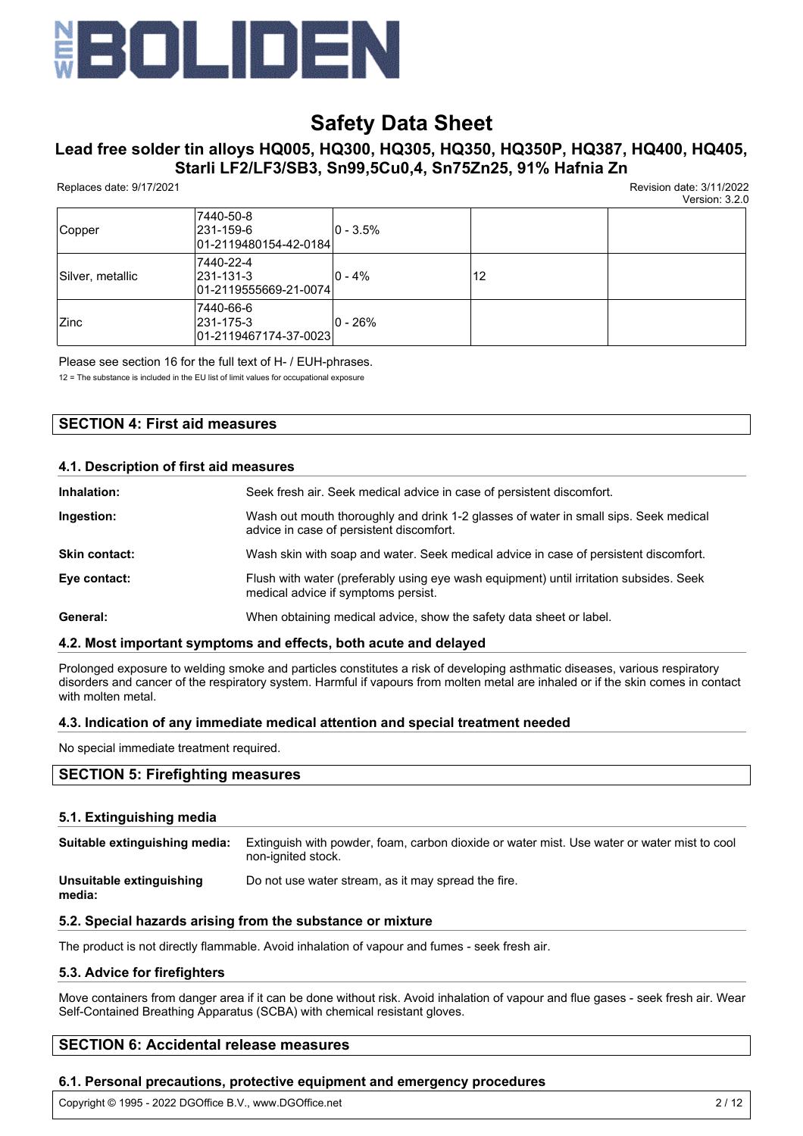

# **Lead free solder tin alloys HQ005, HQ300, HQ305, HQ350, HQ350P, HQ387, HQ400, HQ405, Starli LF2/LF3/SB3, Sn99,5Cu0,4, Sn75Zn25, 91% Hafnia Zn**

Replaces date: 9/17/2021 Revision date: 3/11/2022

Version: 3.2.0

|                  |                                                         |               |    | VEISIUII. J.Z.U |
|------------------|---------------------------------------------------------|---------------|----|-----------------|
| Copper           | 7440-50-8<br>231-159-6<br>01-2119480154-42-0184         | $ 0 - 3.5\% $ |    |                 |
| Silver, metallic | 7440-22-4<br>$ 231 - 131 - 3 $<br>01-2119555669-21-0074 | $ 0 - 4\%$    | 12 |                 |
| <b>Zinc</b>      | 7440-66-6<br>231-175-3<br>01-2119467174-37-0023         | $ 0 - 26\%$   |    |                 |

Please see section 16 for the full text of H- / EUH-phrases.

12 = The substance is included in the EU list of limit values for occupational exposure

## **SECTION 4: First aid measures**

#### **4.1. Description of first aid measures**

| Inhalation:          | Seek fresh air. Seek medical advice in case of persistent discomfort.                                                            |
|----------------------|----------------------------------------------------------------------------------------------------------------------------------|
| Ingestion:           | Wash out mouth thoroughly and drink 1-2 glasses of water in small sips. Seek medical<br>advice in case of persistent discomfort. |
| <b>Skin contact:</b> | Wash skin with soap and water. Seek medical advice in case of persistent discomfort.                                             |
| Eye contact:         | Flush with water (preferably using eye wash equipment) until irritation subsides. Seek<br>medical advice if symptoms persist.    |
| General:             | When obtaining medical advice, show the safety data sheet or label.                                                              |

#### **4.2. Most important symptoms and effects, both acute and delayed**

Prolonged exposure to welding smoke and particles constitutes a risk of developing asthmatic diseases, various respiratory disorders and cancer of the respiratory system. Harmful if vapours from molten metal are inhaled or if the skin comes in contact with molten metal.

#### **4.3. Indication of any immediate medical attention and special treatment needed**

No special immediate treatment required.

## **SECTION 5: Firefighting measures**

#### **5.1. Extinguishing media**

| Suitable extinguishing media:      | Extinguish with powder, foam, carbon dioxide or water mist. Use water or water mist to cool<br>non-ignited stock. |
|------------------------------------|-------------------------------------------------------------------------------------------------------------------|
| Unsuitable extinguishing<br>media: | Do not use water stream, as it may spread the fire.                                                               |

### **5.2. Special hazards arising from the substance or mixture**

The product is not directly flammable. Avoid inhalation of vapour and fumes - seek fresh air.

#### **5.3. Advice for firefighters**

Move containers from danger area if it can be done without risk. Avoid inhalation of vapour and flue gases - seek fresh air. Wear Self-Contained Breathing Apparatus (SCBA) with chemical resistant gloves.

## **SECTION 6: Accidental release measures**

#### **6.1. Personal precautions, protective equipment and emergency procedures**

Copyright © 1995 - 2022 DGOffice B.V., www.DGOffice.net 2 / 12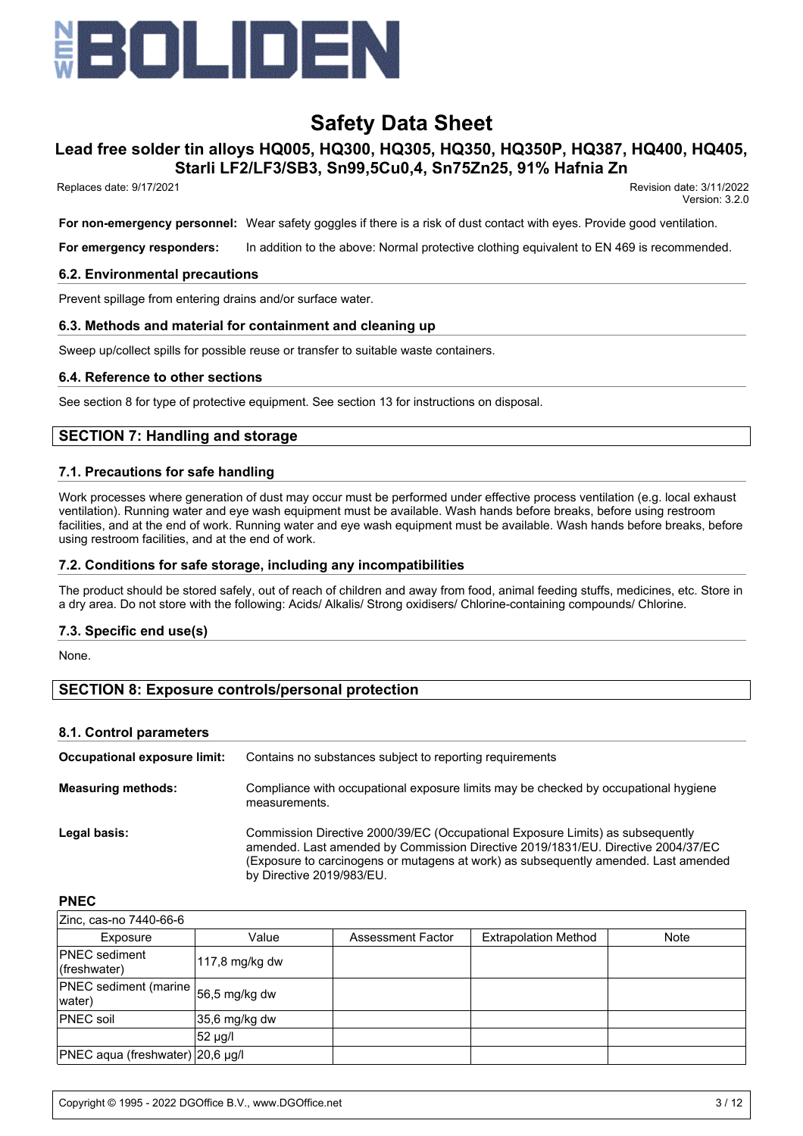

# **Lead free solder tin alloys HQ005, HQ300, HQ305, HQ350, HQ350P, HQ387, HQ400, HQ405, Starli LF2/LF3/SB3, Sn99,5Cu0,4, Sn75Zn25, 91% Hafnia Zn**

Replaces date: 9/17/2021 Revision date: 3/11/2022

Version: 3.2.0

**For non-emergency personnel:** Wear safety goggles if there is a risk of dust contact with eyes. Provide good ventilation.

**For emergency responders:** In addition to the above: Normal protective clothing equivalent to EN 469 is recommended.

#### **6.2. Environmental precautions**

Prevent spillage from entering drains and/or surface water.

#### **6.3. Methods and material for containment and cleaning up**

Sweep up/collect spills for possible reuse or transfer to suitable waste containers.

#### **6.4. Reference to other sections**

See section 8 for type of protective equipment. See section 13 for instructions on disposal.

## **SECTION 7: Handling and storage**

#### **7.1. Precautions for safe handling**

Work processes where generation of dust may occur must be performed under effective process ventilation (e.g. local exhaust ventilation). Running water and eye wash equipment must be available. Wash hands before breaks, before using restroom facilities, and at the end of work. Running water and eye wash equipment must be available. Wash hands before breaks, before using restroom facilities, and at the end of work.

#### **7.2. Conditions for safe storage, including any incompatibilities**

The product should be stored safely, out of reach of children and away from food, animal feeding stuffs, medicines, etc. Store in a dry area. Do not store with the following: Acids/ Alkalis/ Strong oxidisers/ Chlorine-containing compounds/ Chlorine.

#### **7.3. Specific end use(s)**

None.

## **SECTION 8: Exposure controls/personal protection**

#### **8.1. Control parameters**

| Occupational exposure limit: | Contains no substances subject to reporting requirements                                                                                                                                                                                                                               |
|------------------------------|----------------------------------------------------------------------------------------------------------------------------------------------------------------------------------------------------------------------------------------------------------------------------------------|
| <b>Measuring methods:</b>    | Compliance with occupational exposure limits may be checked by occupational hygiene<br>measurements.                                                                                                                                                                                   |
| Legal basis:                 | Commission Directive 2000/39/EC (Occupational Exposure Limits) as subsequently<br>amended. Last amended by Commission Directive 2019/1831/EU. Directive 2004/37/EC<br>(Exposure to carcinogens or mutagens at work) as subsequently amended. Last amended<br>by Directive 2019/983/EU. |

#### **PNEC**

| Zinc, cas-no 7440-66-6                          |                |                   |                             |             |
|-------------------------------------------------|----------------|-------------------|-----------------------------|-------------|
| Exposure                                        | Value          | Assessment Factor | <b>Extrapolation Method</b> | <b>Note</b> |
| <b>PNEC</b> sediment<br>(freshwater)            | 117,8 mg/kg dw |                   |                             |             |
| PNEC sediment (marine   56,5 mg/kg dw<br>water) |                |                   |                             |             |
| <b>PNEC</b> soil                                | 35,6 mg/kg dw  |                   |                             |             |
|                                                 | 52 µg/l        |                   |                             |             |
| PNEC aqua (freshwater) 20,6 µg/l                |                |                   |                             |             |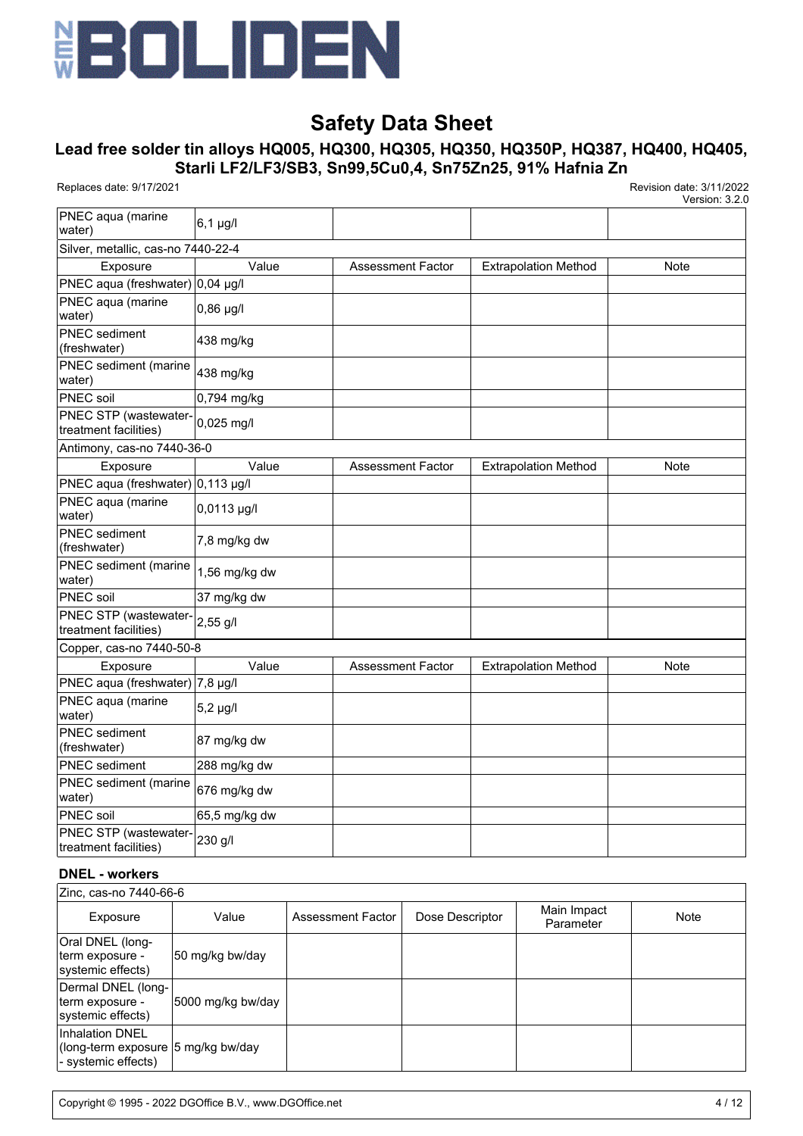

# **Lead free solder tin alloys HQ005, HQ300, HQ305, HQ350, HQ350P, HQ387, HQ400, HQ405, Starli LF2/LF3/SB3, Sn99,5Cu0,4, Sn75Zn25, 91% Hafnia Zn**

Replaces date: 9/17/2021 Revision date: 3/11/2022

Version: 3.2.0

| PNEC aqua (marine<br>water)                    | 6,1 µg/l      |                          |                             |             |
|------------------------------------------------|---------------|--------------------------|-----------------------------|-------------|
| Silver, metallic, cas-no 7440-22-4             |               |                          |                             |             |
| Exposure                                       | Value         | <b>Assessment Factor</b> | <b>Extrapolation Method</b> | Note        |
| PNEC aqua (freshwater) 0,04 µg/l               |               |                          |                             |             |
| PNEC aqua (marine<br>water)                    | $ 0,86 \mu g$ |                          |                             |             |
| <b>PNEC</b> sediment<br>(freshwater)           | 438 mg/kg     |                          |                             |             |
| PNEC sediment (marine<br>water)                | 438 mg/kg     |                          |                             |             |
| PNEC soil                                      | 0,794 mg/kg   |                          |                             |             |
| PNEC STP (wastewater-<br>treatment facilities) | 0,025 mg/l    |                          |                             |             |
| Antimony, cas-no 7440-36-0                     |               |                          |                             |             |
| Exposure                                       | Value         | <b>Assessment Factor</b> | <b>Extrapolation Method</b> | <b>Note</b> |
| PNEC aqua (freshwater) 0,113 µg/l              |               |                          |                             |             |
| PNEC aqua (marine<br>water)                    | 0,0113 µg/l   |                          |                             |             |
| <b>PNEC</b> sediment<br>(freshwater)           | 7,8 mg/kg dw  |                          |                             |             |
| PNEC sediment (marine<br>water)                | 1,56 mg/kg dw |                          |                             |             |
| PNEC soil                                      | 37 mg/kg dw   |                          |                             |             |
| PNEC STP (wastewater-<br>treatment facilities) | 2,55 g/l      |                          |                             |             |
| Copper, cas-no 7440-50-8                       |               |                          |                             |             |
| Exposure                                       | Value         | <b>Assessment Factor</b> | <b>Extrapolation Method</b> | <b>Note</b> |
| PNEC aqua (freshwater) 7,8 µg/l                |               |                          |                             |             |
| PNEC aqua (marine<br>water)                    | $5,2 \mu g/l$ |                          |                             |             |
| <b>PNEC</b> sediment<br>(freshwater)           | 87 mg/kg dw   |                          |                             |             |
| <b>PNEC</b> sediment                           | 288 mg/kg dw  |                          |                             |             |
| <b>PNEC</b> sediment (marine<br>water)         | 676 mg/kg dw  |                          |                             |             |
| PNEC soil                                      | 65,5 mg/kg dw |                          |                             |             |
| PNEC STP (wastewater-<br>treatment facilities) | 230 g/l       |                          |                             |             |

#### **DNEL - workers**

| Zinc, cas-no 7440-66-6                                                              |                   |                   |                 |                          |      |
|-------------------------------------------------------------------------------------|-------------------|-------------------|-----------------|--------------------------|------|
| Exposure                                                                            | Value             | Assessment Factor | Dose Descriptor | Main Impact<br>Parameter | Note |
| Oral DNEL (long-<br>term exposure -<br>systemic effects)                            | 50 mg/kg bw/day   |                   |                 |                          |      |
| Dermal DNEL (long-<br>term exposure -<br>systemic effects)                          | 5000 mg/kg bw/day |                   |                 |                          |      |
| <b>Inhalation DNEL</b><br>(long-term exposure 5 mg/kg bw/day<br>- systemic effects) |                   |                   |                 |                          |      |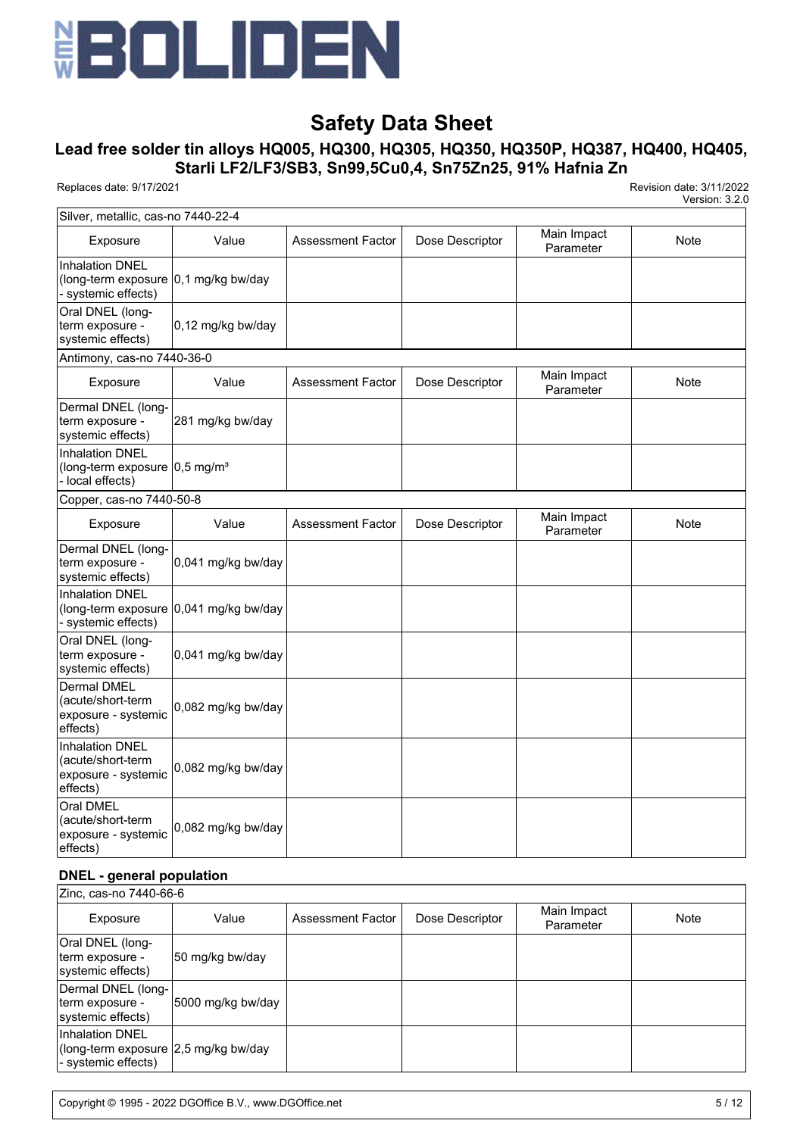

# **Lead free solder tin alloys HQ005, HQ300, HQ305, HQ350, HQ350P, HQ387, HQ400, HQ405, Starli LF2/LF3/SB3, Sn99,5Cu0,4, Sn75Zn25, 91% Hafnia Zn**

Replaces date: 9/17/2021 Revision date: 3/11/2022

Version: 3.2.0

| Silver, metallic, cas-no 7440-22-4                                                               |                                           |                          |                 |                          |      |
|--------------------------------------------------------------------------------------------------|-------------------------------------------|--------------------------|-----------------|--------------------------|------|
| Exposure                                                                                         | Value                                     | <b>Assessment Factor</b> | Dose Descriptor | Main Impact<br>Parameter | Note |
| <b>Inhalation DNEL</b><br>(long-term exposure $ 0,1 \text{ mg/kg}$ bw/day<br>- systemic effects) |                                           |                          |                 |                          |      |
| Oral DNEL (long-<br>term exposure -<br>systemic effects)                                         | 0,12 mg/kg bw/day                         |                          |                 |                          |      |
| Antimony, cas-no 7440-36-0                                                                       |                                           |                          |                 |                          |      |
| Exposure                                                                                         | Value                                     | <b>Assessment Factor</b> | Dose Descriptor | Main Impact<br>Parameter | Note |
| Dermal DNEL (long-<br>term exposure -<br>systemic effects)                                       | 281 mg/kg bw/day                          |                          |                 |                          |      |
| <b>Inhalation DNEL</b><br>(long-term exposure 0,5 mg/m <sup>3</sup><br>- local effects)          |                                           |                          |                 |                          |      |
| Copper, cas-no 7440-50-8                                                                         |                                           |                          |                 |                          |      |
| Exposure                                                                                         | Value                                     | <b>Assessment Factor</b> | Dose Descriptor | Main Impact<br>Parameter | Note |
| Dermal DNEL (long-<br>term exposure -<br>systemic effects)                                       | 0,041 mg/kg bw/day                        |                          |                 |                          |      |
| <b>Inhalation DNEL</b><br>- systemic effects)                                                    | (long-term exposure $ 0,041$ mg/kg bw/day |                          |                 |                          |      |
| Oral DNEL (long-<br>term exposure -<br>systemic effects)                                         | 0,041 mg/kg bw/day                        |                          |                 |                          |      |
| <b>Dermal DMEL</b><br>(acute/short-term<br>exposure - systemic<br>effects)                       | 0,082 mg/kg bw/day                        |                          |                 |                          |      |
| <b>Inhalation DNEL</b><br>(acute/short-term<br>exposure - systemic<br>effects)                   | 0,082 mg/kg bw/day                        |                          |                 |                          |      |
| Oral DMEL<br>(acute/short-term<br>exposure - systemic<br>effects)                                | 0,082 mg/kg bw/day                        |                          |                 |                          |      |

#### **DNEL - general population**

| Zinc, cas-no 7440-66-6                                                                |                   |                   |                 |                          |      |
|---------------------------------------------------------------------------------------|-------------------|-------------------|-----------------|--------------------------|------|
| Exposure                                                                              | Value             | Assessment Factor | Dose Descriptor | Main Impact<br>Parameter | Note |
| Oral DNEL (long-<br>term exposure -<br>systemic effects)                              | 50 mg/kg bw/day   |                   |                 |                          |      |
| Dermal DNEL (long-<br>term exposure -<br>systemic effects)                            | 5000 mg/kg bw/day |                   |                 |                          |      |
| <b>Inhalation DNEL</b><br>(long-term exposure 2,5 mg/kg bw/day<br>- systemic effects) |                   |                   |                 |                          |      |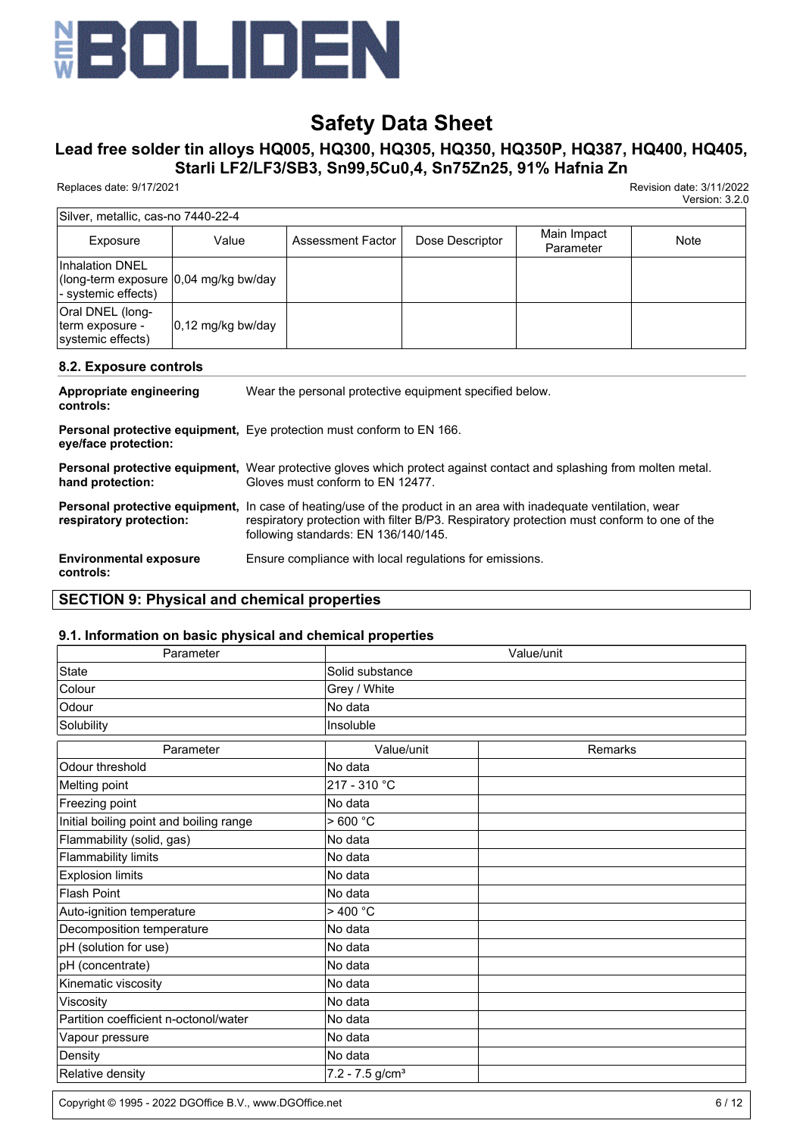

# **Lead free solder tin alloys HQ005, HQ300, HQ305, HQ350, HQ350P, HQ387, HQ400, HQ405, Starli LF2/LF3/SB3, Sn99,5Cu0,4, Sn75Zn25, 91% Hafnia Zn**

Replaces date: 9/17/2021 Revision date: 3/11/2022

Version: 3.2.0

| Silver, metallic, cas-no 7440-22-4                                               |                              |                   |                 |                          |      |  |  |  |
|----------------------------------------------------------------------------------|------------------------------|-------------------|-----------------|--------------------------|------|--|--|--|
| Exposure                                                                         | Value                        | Assessment Factor | Dose Descriptor | Main Impact<br>Parameter | Note |  |  |  |
| IInhalation DNEL<br>(long-term exposure 0,04 mg/kg bw/day<br>- systemic effects) |                              |                   |                 |                          |      |  |  |  |
| Oral DNEL (long-<br>term exposure -<br>systemic effects)                         | $ 0,12 \text{ mg/kg}$ bw/day |                   |                 |                          |      |  |  |  |

#### **8.2. Exposure controls**

| Appropriate engineering<br>controls:       | Wear the personal protective equipment specified below.                                                                                                                                                                                                        |
|--------------------------------------------|----------------------------------------------------------------------------------------------------------------------------------------------------------------------------------------------------------------------------------------------------------------|
| eye/face protection:                       | <b>Personal protective equipment, Eye protection must conform to EN 166.</b>                                                                                                                                                                                   |
| hand protection:                           | Personal protective equipment, Wear protective gloves which protect against contact and splashing from molten metal.<br>Gloves must conform to EN 12477.                                                                                                       |
| respiratory protection:                    | <b>Personal protective equipment,</b> In case of heating/use of the product in an area with inadequate ventilation, wear<br>respiratory protection with filter B/P3. Respiratory protection must conform to one of the<br>following standards: EN 136/140/145. |
| <b>Environmental exposure</b><br>controls: | Ensure compliance with local regulations for emissions.                                                                                                                                                                                                        |

# **SECTION 9: Physical and chemical properties**

#### **9.1. Information on basic physical and chemical properties**

| Parameter                               | Value/unit                    |         |  |  |
|-----------------------------------------|-------------------------------|---------|--|--|
| <b>State</b>                            | Solid substance               |         |  |  |
| Colour                                  | Grey / White                  |         |  |  |
| Odour                                   | No data                       |         |  |  |
| Solubility                              | Insoluble                     |         |  |  |
| Parameter                               | Value/unit                    | Remarks |  |  |
| Odour threshold                         | No data                       |         |  |  |
| Melting point                           | 217 - 310 °C                  |         |  |  |
| Freezing point                          | No data                       |         |  |  |
| Initial boiling point and boiling range | >600 °C                       |         |  |  |
| Flammability (solid, gas)               | No data                       |         |  |  |
| <b>Flammability limits</b>              | No data                       |         |  |  |
| <b>Explosion limits</b>                 | No data                       |         |  |  |
| <b>Flash Point</b>                      | No data                       |         |  |  |
| Auto-ignition temperature               | >400 °C                       |         |  |  |
| Decomposition temperature               | No data                       |         |  |  |
| pH (solution for use)                   | No data                       |         |  |  |
| pH (concentrate)                        | No data                       |         |  |  |
| Kinematic viscosity                     | No data                       |         |  |  |
| Viscosity                               | No data                       |         |  |  |
| Partition coefficient n-octonol/water   | No data                       |         |  |  |
| Vapour pressure                         | No data                       |         |  |  |
| Density                                 | No data                       |         |  |  |
| Relative density                        | $7.2 - 7.5$ g/cm <sup>3</sup> |         |  |  |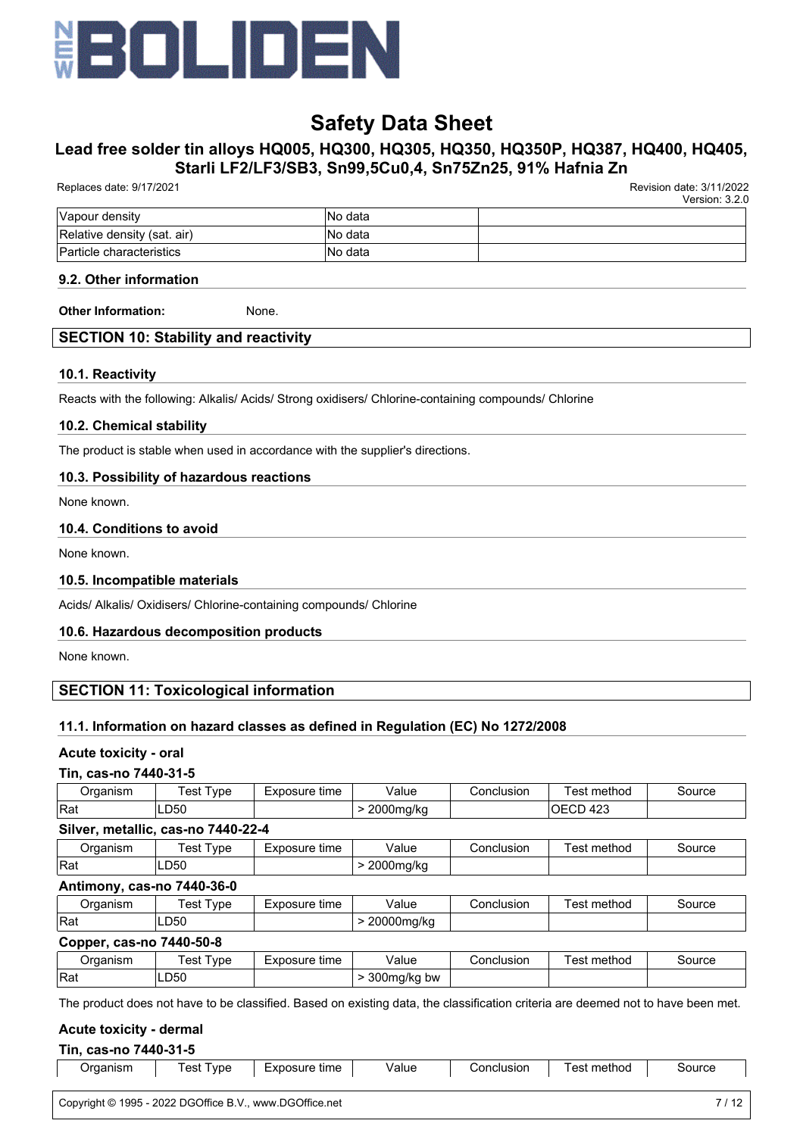

# **Lead free solder tin alloys HQ005, HQ300, HQ305, HQ350, HQ350P, HQ387, HQ400, HQ405, Starli LF2/LF3/SB3, Sn99,5Cu0,4, Sn75Zn25, 91% Hafnia Zn**

| Version: 3.2.0 |
|----------------|
|                |
|                |
|                |
|                |

## **9.2. Other information**

**Other Information:** None.

### **SECTION 10: Stability and reactivity**

#### **10.1. Reactivity**

Reacts with the following: Alkalis/ Acids/ Strong oxidisers/ Chlorine-containing compounds/ Chlorine

#### **10.2. Chemical stability**

The product is stable when used in accordance with the supplier's directions.

#### **10.3. Possibility of hazardous reactions**

None known.

### **10.4. Conditions to avoid**

None known.

#### **10.5. Incompatible materials**

Acids/ Alkalis/ Oxidisers/ Chlorine-containing compounds/ Chlorine

#### **10.6. Hazardous decomposition products**

None known.

## **SECTION 11: Toxicological information**

#### **11.1. Information on hazard classes as defined in Regulation (EC) No 1272/2008**

#### **Acute toxicity - oral**

#### **Tin, cas-no 7440-31-5**

| <b><u><u>PAARIAM</u></u></b><br>ы<br>. וכווי | 'est<br>ype | time<br>posure | Value                          | Conclusion | method<br>est            | source |
|----------------------------------------------|-------------|----------------|--------------------------------|------------|--------------------------|--------|
| Rat                                          | ∟D50        |                | 0.000<br>na/ko<br>∠∪∪ur<br>. . |            | $\sim$<br>)⊢<br>∪∟⊤<br>ັ |        |

#### **Silver, metallic, cas-no 7440-22-4**

| )raanism<br>ianish | vpe<br>es | osure<br>time<br>70 | `/alue                           | usior<br>`onclu | method | source |
|--------------------|-----------|---------------------|----------------------------------|-----------------|--------|--------|
| Rat                | .∟D50     |                     | 0.000<br>11.0<br>יו <b>ט</b> /KL |                 |        |        |

#### **Antimony, cas-no 7440-36-0**

| Jraanism | 'est<br>vpe | Exposure<br>time | Value<br>.          | :oncli<br>JSION<br>., | _<br>methoc<br>es | source |
|----------|-------------|------------------|---------------------|-----------------------|-------------------|--------|
| Rat      | ∩⊼∩<br>LDOU |                  | nnr<br>ma/kc<br>. . |                       |                   |        |

#### **Copper, cas-no 7440-50-8**

| ⊃rɑanısm | 'est<br>vpe | າosure time<br>EXD | $\cdot$<br>alue/             | Conclusion | $\cdots$<br>method<br>es1 | `ource |
|----------|-------------|--------------------|------------------------------|------------|---------------------------|--------|
| Rat      | LD50        |                    | 300mg/kg<br>bw<br>. .<br>. . |            |                           |        |

The product does not have to be classified. Based on existing data, the classification criteria are deemed not to have been met.

#### **Acute toxicity - dermal**

#### **Tin, cas-no 7440-31-5**

| Jraanism | est<br>vpe | -xposure<br>tıme | Value | Conclusion | method<br>'esì | Source |
|----------|------------|------------------|-------|------------|----------------|--------|
|          |            |                  |       |            |                |        |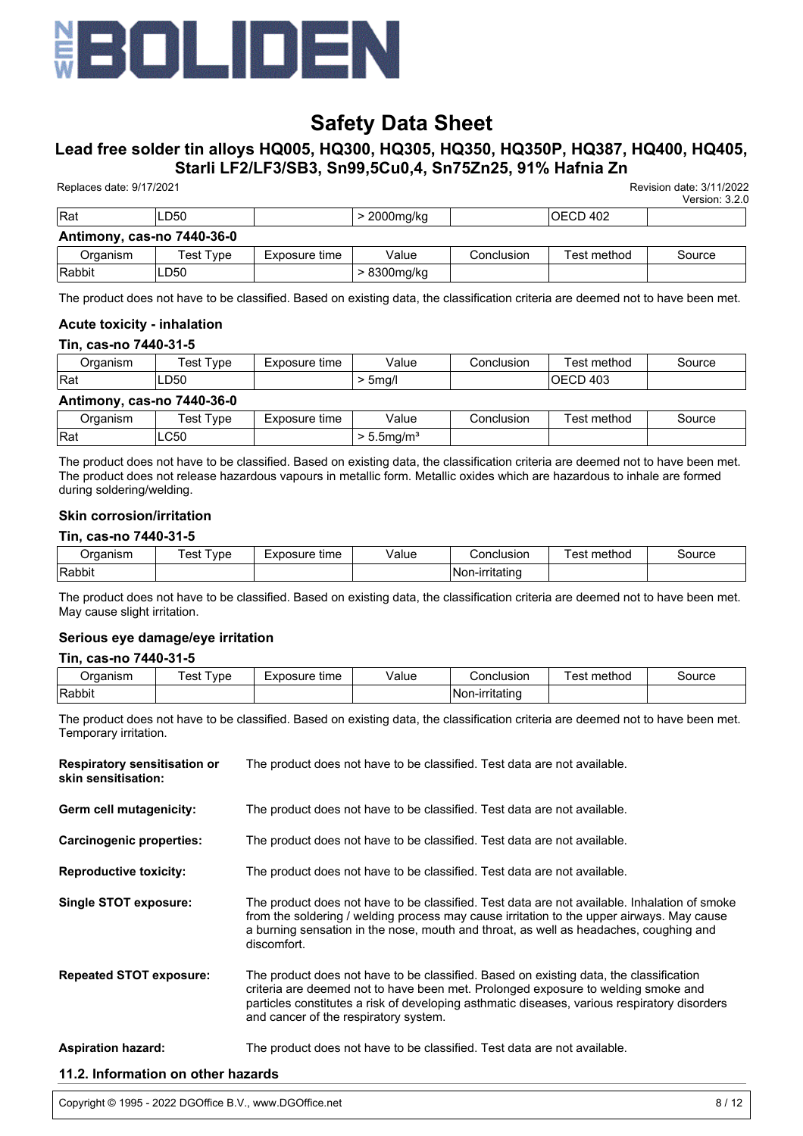

# **Lead free solder tin alloys HQ005, HQ300, HQ305, HQ350, HQ350P, HQ387, HQ400, HQ405, Starli LF2/LF3/SB3, Sn99,5Cu0,4, Sn75Zn25, 91% Hafnia Zn**

| Replaces date: 9/17/2021   |           |               |             |            |                  | Revision date: 3/11/2022<br>Version: 3.2.0 |
|----------------------------|-----------|---------------|-------------|------------|------------------|--------------------------------------------|
| <b>Rat</b>                 | LD50      |               | > 2000mg/kg |            | <b>IOECD 402</b> |                                            |
| Antimony, cas-no 7440-36-0 |           |               |             |            |                  |                                            |
| Organism                   | Test Type | Exposure time | Value       | Conclusion | Test method      | Source                                     |
| Rabbit                     | LD50      |               | > 8300mg/kg |            |                  |                                            |

The product does not have to be classified. Based on existing data, the classification criteria are deemed not to have been met.

#### **Acute toxicity - inhalation**

#### **Tin, cas-no 7440-31-5**

| Organism                   | Test Type | Exposure time | Value                     | Conclusion | Test method      | Source |
|----------------------------|-----------|---------------|---------------------------|------------|------------------|--------|
| <b>Rat</b>                 | LD50      |               | $>$ 5mg/l                 |            | <b>IOECD 403</b> |        |
| Antimony, cas-no 7440-36-0 |           |               |                           |            |                  |        |
| Organism                   | Test Type | Exposure time | Value                     | Conclusion | Test method      | Source |
| <b>IRat</b>                | LC50      |               | $> 5.5$ mg/m <sup>3</sup> |            |                  |        |

The product does not have to be classified. Based on existing data, the classification criteria are deemed not to have been met. The product does not release hazardous vapours in metallic form. Metallic oxides which are hazardous to inhale are formed during soldering/welding.

#### **Skin corrosion/irritation**

#### **Tin, cas-no 7440-31-5**

| )raanism | est<br>vpe | osure<br>time<br>$ \mathbf{v}$<br>一人い | value | Conclusion      | method<br>est | source |
|----------|------------|---------------------------------------|-------|-----------------|---------------|--------|
| Rabbit   |            |                                       |       | ⊺Non-ırrıtatınd |               |        |

The product does not have to be classified. Based on existing data, the classification criteria are deemed not to have been met. May cause slight irritation.

#### **Serious eye damage/eye irritation**

#### **Tin, cas-no 7440-31-5**

| <b>Draanism</b> | 'est<br>vpe | Exposure<br>time | Value | Conclusion      | method<br>esi | source |
|-----------------|-------------|------------------|-------|-----------------|---------------|--------|
| Rabbit          |             |                  |       | INon-irritating |               |        |

The product does not have to be classified. Based on existing data, the classification criteria are deemed not to have been met. Temporary irritation.

| <b>Respiratory sensitisation or</b><br>skin sensitisation: | The product does not have to be classified. Test data are not available.                                                                                                                                                                                                                                             |
|------------------------------------------------------------|----------------------------------------------------------------------------------------------------------------------------------------------------------------------------------------------------------------------------------------------------------------------------------------------------------------------|
| Germ cell mutagenicity:                                    | The product does not have to be classified. Test data are not available.                                                                                                                                                                                                                                             |
| Carcinogenic properties:                                   | The product does not have to be classified. Test data are not available.                                                                                                                                                                                                                                             |
| <b>Reproductive toxicity:</b>                              | The product does not have to be classified. Test data are not available.                                                                                                                                                                                                                                             |
| Single STOT exposure:                                      | The product does not have to be classified. Test data are not available. Inhalation of smoke<br>from the soldering / welding process may cause irritation to the upper airways. May cause<br>a burning sensation in the nose, mouth and throat, as well as headaches, coughing and<br>discomfort.                    |
| <b>Repeated STOT exposure:</b>                             | The product does not have to be classified. Based on existing data, the classification<br>criteria are deemed not to have been met. Prolonged exposure to welding smoke and<br>particles constitutes a risk of developing asthmatic diseases, various respiratory disorders<br>and cancer of the respiratory system. |
| <b>Aspiration hazard:</b>                                  | The product does not have to be classified. Test data are not available.                                                                                                                                                                                                                                             |

#### **11.2. Information on other hazards**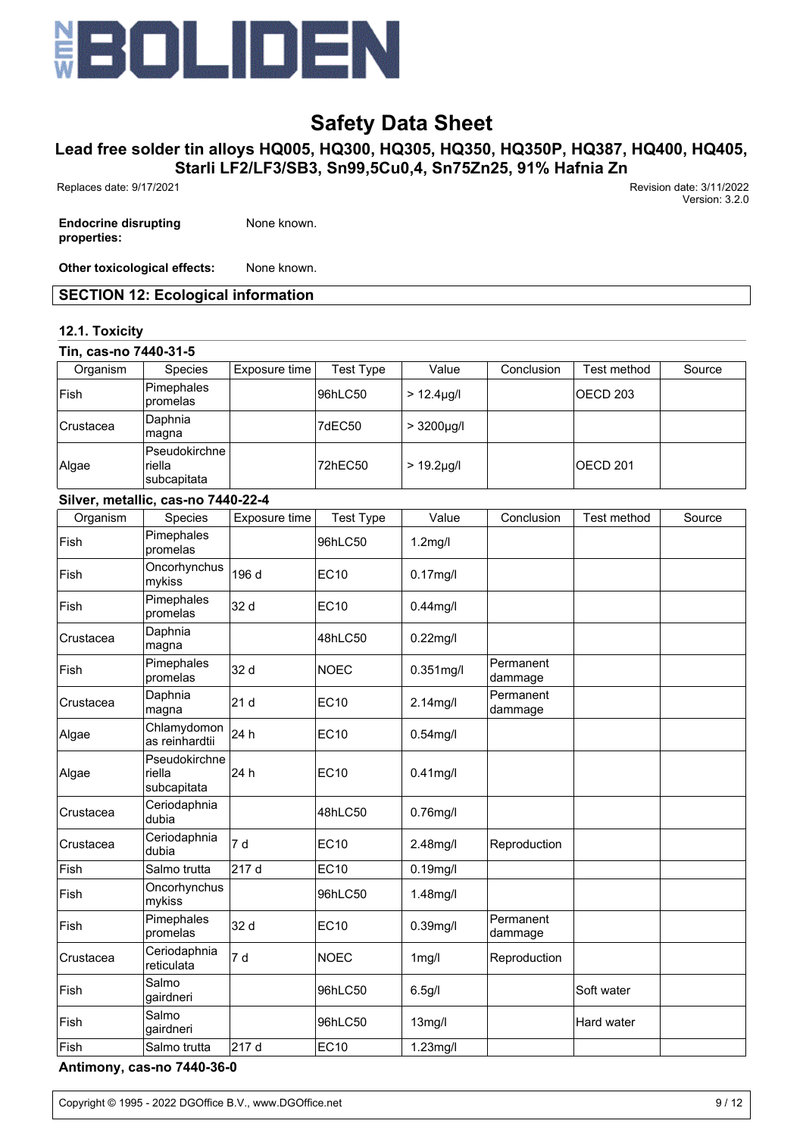

# **Lead free solder tin alloys HQ005, HQ300, HQ305, HQ350, HQ350P, HQ387, HQ400, HQ405, Starli LF2/LF3/SB3, Sn99,5Cu0,4, Sn75Zn25, 91% Hafnia Zn**

Replaces date: 9/17/2021 Revision date: 3/11/2022

**Endocrine disrupting properties:**

None known.

**Other toxicological effects:** None known.

## **SECTION 12: Ecological information**

### **12.1. Toxicity**

| Tin, cas-no 7440-31-5 |                                        |               |                  |                  |                      |                     |        |
|-----------------------|----------------------------------------|---------------|------------------|------------------|----------------------|---------------------|--------|
| Organism              | Species                                | Exposure time | <b>Test Type</b> | Value            | Conclusion           | Test method         | Source |
| Fish                  | Pimephales<br>promelas                 |               | 96hLC50          | $> 12.4 \mu g/l$ |                      | OECD <sub>203</sub> |        |
| Crustacea             | Daphnia<br>magna                       |               | 7dEC50           | $> 3200 \mu g/l$ |                      |                     |        |
| Algae                 | Pseudokirchne<br>riella<br>subcapitata |               | 72hEC50          | $> 19.2 \mu g/l$ |                      | OECD <sub>201</sub> |        |
|                       | Silver, metallic, cas-no 7440-22-4     |               |                  |                  |                      |                     |        |
| Organism              | Species                                | Exposure time | <b>Test Type</b> | Value            | Conclusion           | Test method         | Source |
| Fish                  | Pimephales<br>promelas                 |               | 96hLC50          | $1.2$ mg/l       |                      |                     |        |
| Fish                  | Oncorhynchus<br>mykiss                 | 196 d         | <b>EC10</b>      | $0.17$ mg/l      |                      |                     |        |
| Fish                  | Pimephales<br>promelas                 | 32 d          | <b>EC10</b>      | $0.44$ mg/l      |                      |                     |        |
| Crustacea             | Daphnia<br>magna                       |               | 48hLC50          | $0.22$ mg/l      |                      |                     |        |
| Fish                  | Pimephales<br>promelas                 | 32 d          | <b>NOEC</b>      | $0.351$ mg/l     | Permanent<br>dammage |                     |        |
| Crustacea             | Daphnia<br>magna                       | 21 d          | <b>EC10</b>      | 2.14mg/l         | Permanent<br>dammage |                     |        |
| Algae                 | Chlamydomon<br>as reinhardtii          | 24 h          | <b>EC10</b>      | $0.54$ mg/l      |                      |                     |        |
| Algae                 | Pseudokirchne<br>riella<br>subcapitata | 24 h          | <b>EC10</b>      | $0.41$ mg/l      |                      |                     |        |
| Crustacea             | Ceriodaphnia<br>dubia                  |               | 48hLC50          | $0.76$ mg/l      |                      |                     |        |
| Crustacea             | Ceriodaphnia<br>dubia                  | 7 d           | <b>EC10</b>      | 2.48mg/l         | Reproduction         |                     |        |
| Fish                  | Salmo trutta                           | 217 d         | <b>EC10</b>      | $0.19$ mg/l      |                      |                     |        |
| Fish                  | Oncorhynchus<br>mykiss                 |               | 96hLC50          | 1.48mg/l         |                      |                     |        |
| Fish                  | Pimephales<br>promelas                 | 32 d          | <b>EC10</b>      | 0.39mg/l         | Permanent<br>dammage |                     |        |
| Crustacea             | Ceriodaphnia<br>reticulata             | 7 d           | NOEC             | $1$ mg/l         | Reproduction         |                     |        |
| Fish                  | Salmo<br>gairdneri                     |               | 96hLC50          | 6.5g/l           |                      | Soft water          |        |
| Fish                  | Salmo<br>gairdneri                     |               | 96hLC50          | 13mg/l           |                      | Hard water          |        |
| Fish                  | Salmo trutta                           | 217 d         | <b>EC10</b>      | 1.23mg/l         |                      |                     |        |

**Antimony, cas-no 7440-36-0**

Version: 3.2.0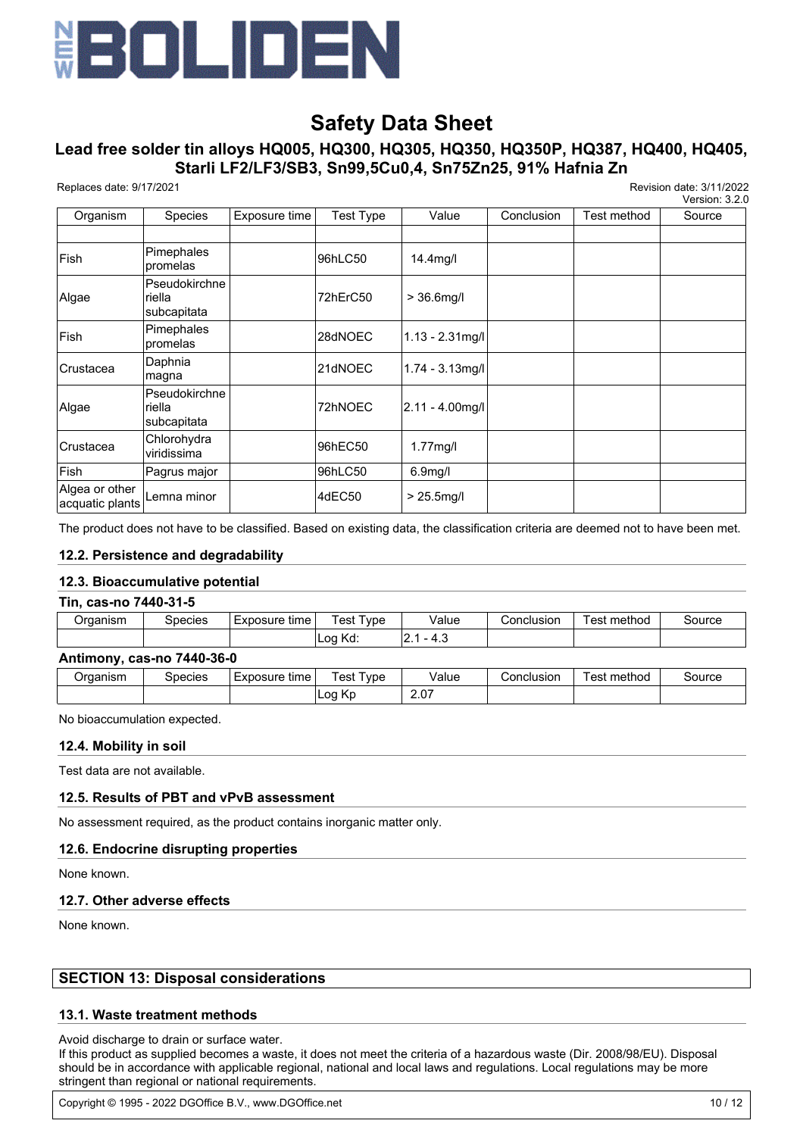

# **Lead free solder tin alloys HQ005, HQ300, HQ305, HQ350, HQ350P, HQ387, HQ400, HQ405, Starli LF2/LF3/SB3, Sn99,5Cu0,4, Sn75Zn25, 91% Hafnia Zn**

Replaces date: 9/17/2021 Revision date: 3/11/2022

Version: 3.2.0

|                                   |                                        |               |                  |                      |            |             | <b>VEISIUII. J.Z.U</b> |
|-----------------------------------|----------------------------------------|---------------|------------------|----------------------|------------|-------------|------------------------|
| Organism                          | <b>Species</b>                         | Exposure time | <b>Test Type</b> | Value                | Conclusion | Test method | Source                 |
|                                   |                                        |               |                  |                      |            |             |                        |
| Fish                              | Pimephales<br>promelas                 |               | 96hLC50          | 14.4mg/l             |            |             |                        |
| Algae                             | Pseudokirchne<br>riella<br>subcapitata |               | 72hErC50         | $> 36.6$ mg/l        |            |             |                        |
| Fish                              | Pimephales<br>promelas                 |               | 28dNOEC          | $1.13 - 2.31$ mg/l   |            |             |                        |
| Crustacea                         | Daphnia<br>magna                       |               | 21dNOEC          | $1.74 - 3.13$ mg/l   |            |             |                        |
| Algae                             | Pseudokirchne<br>riella<br>subcapitata |               | 72hNOEC          | $2.11 - 4.00$ mg/l   |            |             |                        |
| Crustacea                         | Chlorohydra<br>viridissima             |               | 96hEC50          | 1.77mg/l             |            |             |                        |
| Fish                              | Pagrus major                           |               | 96hLC50          | 6.9 <sub>mg</sub> /l |            |             |                        |
| Algea or other<br>acquatic plants | Lemna minor                            |               | 4dEC50           | $> 25.5$ mg/l        |            |             |                        |

The product does not have to be classified. Based on existing data, the classification criteria are deemed not to have been met.

### **12.2. Persistence and degradability**

#### **12.3. Bioaccumulative potential**

### **Tin, cas-no 7440-31-5**

|                | ____    |                                   |                           |            |            |               |        |
|----------------|---------|-----------------------------------|---------------------------|------------|------------|---------------|--------|
| <b>Imanism</b> | ipecies | ۱۸۴۱ ۱۳۵<br>time<br>– v –<br>. IU | l vpe<br>oct<br>ັບວເ      | /alue<br>. | ;onclusion | method<br>est | source |
|                |         |                                   | $\sim$<br><br>IW.<br>เ∟∪น | .<br>.     |            |               |        |

#### **Antimony, cas-no 7440-36-0**

| -----    | ______         |               |                      |       |            |                  |        |
|----------|----------------|---------------|----------------------|-------|------------|------------------|--------|
| ⊃rɑanısm | <b>Species</b> | Exposure time | --<br>vpe<br>est     | Value | Conclusion | –<br>⊺est method | source |
|          |                |               | Кc<br>nα<br><u>.</u> | 2.07  |            |                  |        |
|          |                |               |                      |       |            |                  |        |

No bioaccumulation expected.

#### **12.4. Mobility in soil**

Test data are not available.

#### **12.5. Results of PBT and vPvB assessment**

No assessment required, as the product contains inorganic matter only.

#### **12.6. Endocrine disrupting properties**

None known.

#### **12.7. Other adverse effects**

None known.

## **SECTION 13: Disposal considerations**

#### **13.1. Waste treatment methods**

Avoid discharge to drain or surface water.

If this product as supplied becomes a waste, it does not meet the criteria of a hazardous waste (Dir. 2008/98/EU). Disposal should be in accordance with applicable regional, national and local laws and regulations. Local regulations may be more stringent than regional or national requirements.

Copyright © 1995 - 2022 DGOffice B.V., www.DGOffice.net 10 / 12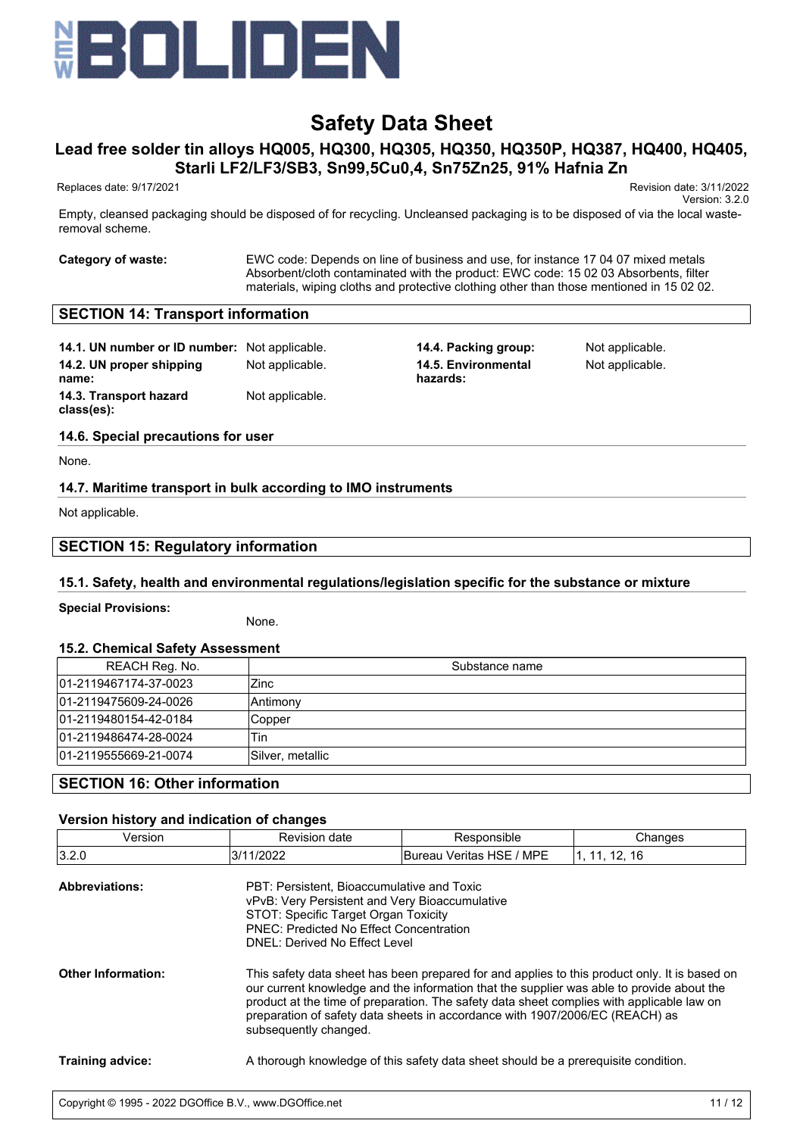

# **Lead free solder tin alloys HQ005, HQ300, HQ305, HQ350, HQ350P, HQ387, HQ400, HQ405, Starli LF2/LF3/SB3, Sn99,5Cu0,4, Sn75Zn25, 91% Hafnia Zn**

Replaces date: 9/17/2021 Revision date: 3/11/2022

Version: 3.2.0

Empty, cleansed packaging should be disposed of for recycling. Uncleansed packaging is to be disposed of via the local wasteremoval scheme.

**Category of waste:** EWC code: Depends on line of business and use, for instance 17 04 07 mixed metals Absorbent/cloth contaminated with the product: EWC code: 15 02 03 Absorbents, filter materials, wiping cloths and protective clothing other than those mentioned in 15 02 02.

### **SECTION 14: Transport information**

**14.1. UN number or ID number:** Not applicable. **14.4. Packing group:** Not applicable. **14.2. UN proper shipping name: 14.3. Transport hazard class(es):** Not applicable.

Not applicable. **14.5. Environmental hazards:**

Not applicable.

#### **14.6. Special precautions for user**

None.

### **14.7. Maritime transport in bulk according to IMO instruments**

Not applicable.

# **SECTION 15: Regulatory information**

#### **15.1. Safety, health and environmental regulations/legislation specific for the substance or mixture**

**Special Provisions:**

None.

#### **15.2. Chemical Safety Assessment**

| $\sim$                |                  |
|-----------------------|------------------|
| REACH Reg. No.        | Substance name   |
| 01-2119467174-37-0023 | Zinc             |
| 01-2119475609-24-0026 | Antimony         |
| 01-2119480154-42-0184 | Copper           |
| 01-2119486474-28-0024 | Tin              |
| 01-2119555669-21-0074 | Silver, metallic |
|                       |                  |

#### **SECTION 16: Other information**

#### **Version history and indication of changes**

| Version                   | Revision date                                                                                                                                                                                                                                                                                                                                                                                    | Responsible                                                                        | Changes       |  |  |
|---------------------------|--------------------------------------------------------------------------------------------------------------------------------------------------------------------------------------------------------------------------------------------------------------------------------------------------------------------------------------------------------------------------------------------------|------------------------------------------------------------------------------------|---------------|--|--|
| 3.2.0                     | 3/11/2022                                                                                                                                                                                                                                                                                                                                                                                        | Bureau Veritas HSE / MPE                                                           | 1, 11, 12, 16 |  |  |
| <b>Abbreviations:</b>     | PBT: Persistent, Bioaccumulative and Toxic<br>vPvB: Very Persistent and Very Bioaccumulative<br>STOT: Specific Target Organ Toxicity<br><b>PNEC: Predicted No Effect Concentration</b><br>DNEL: Derived No Effect Level                                                                                                                                                                          |                                                                                    |               |  |  |
| <b>Other Information:</b> | This safety data sheet has been prepared for and applies to this product only. It is based on<br>our current knowledge and the information that the supplier was able to provide about the<br>product at the time of preparation. The safety data sheet complies with applicable law on<br>preparation of safety data sheets in accordance with 1907/2006/EC (REACH) as<br>subsequently changed. |                                                                                    |               |  |  |
| <b>Training advice:</b>   |                                                                                                                                                                                                                                                                                                                                                                                                  | A thorough knowledge of this safety data sheet should be a prerequisite condition. |               |  |  |